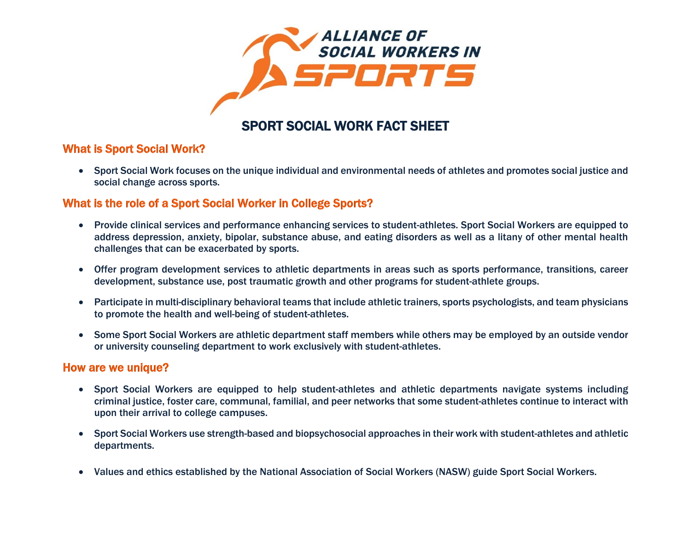

## SPORT SOCIAL WORK FACT SHEET

## What is Sport Social Work?

 Sport Social Work focuses on the unique individual and environmental needs of athletes and promotes social justice and social change across sports.

## What is the role of a Sport Social Worker in College Sports?

- Provide clinical services and performance enhancing services to student-athletes. Sport Social Workers are equipped to address depression, anxiety, bipolar, substance abuse, and eating disorders as well as a litany of other mental health challenges that can be exacerbated by sports.
- Offer program development services to athletic departments in areas such as sports performance, transitions, career development, substance use, post traumatic growth and other programs for student-athlete groups.
- Participate in multi-disciplinary behavioral teams that include athletic trainers, sports psychologists, and team physicians to promote the health and well-being of student-athletes.
- Some Sport Social Workers are athletic department staff members while others may be employed by an outside vendor or university counseling department to work exclusively with student-athletes.

### How are we unique?

- Sport Social Workers are equipped to help student-athletes and athletic departments navigate systems including criminal justice, foster care, communal, familial, and peer networks that some student-athletes continue to interact with upon their arrival to college campuses.
- Sport Social Workers use strength-based and biopsychosocial approaches in their work with student-athletes and athletic departments.
- Values and ethics established by the National Association of Social Workers (NASW) guide Sport Social Workers.